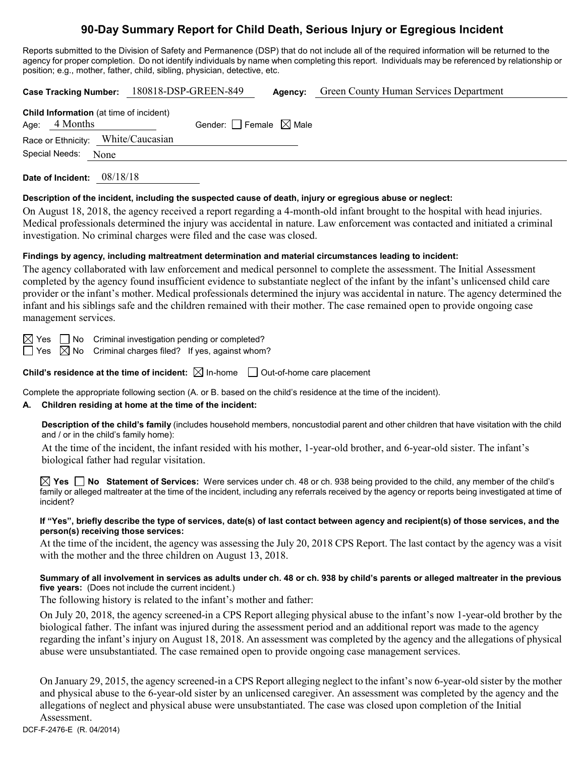# **90-Day Summary Report for Child Death, Serious Injury or Egregious Incident**

Reports submitted to the Division of Safety and Permanence (DSP) that do not include all of the required information will be returned to the agency for proper completion. Do not identify individuals by name when completing this report. Individuals may be referenced by relationship or position; e.g., mother, father, child, sibling, physician, detective, etc.

|                                                                 | Case Tracking Number: 180818-DSP-GREEN-849 | Agency: | Green County Human Services Department |
|-----------------------------------------------------------------|--------------------------------------------|---------|----------------------------------------|
| <b>Child Information</b> (at time of incident)<br>Age: 4 Months | Gender: Female $\boxtimes$ Male            |         |                                        |
| Race or Ethnicity: White/Caucasian                              |                                            |         |                                        |
| Special Needs: None                                             |                                            |         |                                        |
| 08/18/18<br>Date of Incident:                                   |                                            |         |                                        |

#### **Description of the incident, including the suspected cause of death, injury or egregious abuse or neglect:**

On August 18, 2018, the agency received a report regarding a 4-month-old infant brought to the hospital with head injuries. Medical professionals determined the injury was accidental in nature. Law enforcement was contacted and initiated a criminal investigation. No criminal charges were filed and the case was closed.

#### **Findings by agency, including maltreatment determination and material circumstances leading to incident:**

The agency collaborated with law enforcement and medical personnel to complete the assessment. The Initial Assessment completed by the agency found insufficient evidence to substantiate neglect of the infant by the infant's unlicensed child care provider or the infant's mother. Medical professionals determined the injury was accidental in nature. The agency determined the infant and his siblings safe and the children remained with their mother. The case remained open to provide ongoing case management services.

 $\boxtimes$  Yes  $\Box$  No Criminal investigation pending or completed?

 $\Box$  Yes  $\boxtimes$  No Criminal charges filed? If yes, against whom?

**Child's residence at the time of incident:**  $\boxtimes$  In-home  $\Box$  Out-of-home care placement

Complete the appropriate following section (A. or B. based on the child's residence at the time of the incident).

## **A. Children residing at home at the time of the incident:**

**Description of the child's family** (includes household members, noncustodial parent and other children that have visitation with the child and / or in the child's family home):

At the time of the incident, the infant resided with his mother, 1-year-old brother, and 6-year-old sister. The infant's biological father had regular visitation.

**Yes No Statement of Services:** Were services under ch. 48 or ch. 938 being provided to the child, any member of the child's family or alleged maltreater at the time of the incident, including any referrals received by the agency or reports being investigated at time of incident?

#### **If "Yes", briefly describe the type of services, date(s) of last contact between agency and recipient(s) of those services, and the person(s) receiving those services:**

At the time of the incident, the agency was assessing the July 20, 2018 CPS Report. The last contact by the agency was a visit with the mother and the three children on August 13, 2018.

## **Summary of all involvement in services as adults under ch. 48 or ch. 938 by child's parents or alleged maltreater in the previous five years:** (Does not include the current incident.)

The following history is related to the infant's mother and father:

On July 20, 2018, the agency screened-in a CPS Report alleging physical abuse to the infant's now 1-year-old brother by the biological father. The infant was injured during the assessment period and an additional report was made to the agency regarding the infant's injury on August 18, 2018. An assessment was completed by the agency and the allegations of physical abuse were unsubstantiated. The case remained open to provide ongoing case management services.

On January 29, 2015, the agency screened-in a CPS Report alleging neglect to the infant's now 6-year-old sister by the mother and physical abuse to the 6-year-old sister by an unlicensed caregiver. An assessment was completed by the agency and the allegations of neglect and physical abuse were unsubstantiated. The case was closed upon completion of the Initial Assessment.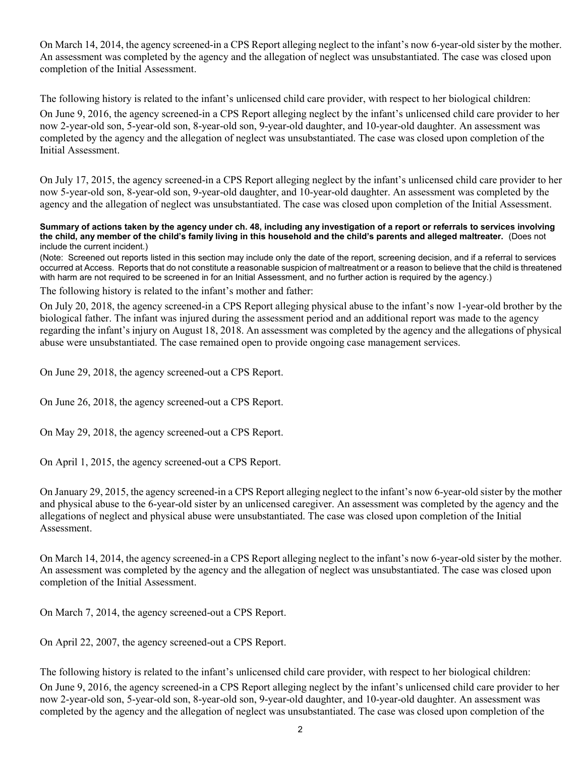On March 14, 2014, the agency screened-in a CPS Report alleging neglect to the infant's now 6-year-old sister by the mother. An assessment was completed by the agency and the allegation of neglect was unsubstantiated. The case was closed upon completion of the Initial Assessment.

The following history is related to the infant's unlicensed child care provider, with respect to her biological children:

On June 9, 2016, the agency screened-in a CPS Report alleging neglect by the infant's unlicensed child care provider to her now 2-year-old son, 5-year-old son, 8-year-old son, 9-year-old daughter, and 10-year-old daughter. An assessment was completed by the agency and the allegation of neglect was unsubstantiated. The case was closed upon completion of the Initial Assessment.

On July 17, 2015, the agency screened-in a CPS Report alleging neglect by the infant's unlicensed child care provider to her now 5-year-old son, 8-year-old son, 9-year-old daughter, and 10-year-old daughter. An assessment was completed by the agency and the allegation of neglect was unsubstantiated. The case was closed upon completion of the Initial Assessment.

#### **Summary of actions taken by the agency under ch. 48, including any investigation of a report or referrals to services involving the child, any member of the child's family living in this household and the child's parents and alleged maltreater.** (Does not include the current incident.)

(Note: Screened out reports listed in this section may include only the date of the report, screening decision, and if a referral to services occurred at Access. Reports that do not constitute a reasonable suspicion of maltreatment or a reason to believe that the child is threatened with harm are not required to be screened in for an Initial Assessment, and no further action is required by the agency.)

The following history is related to the infant's mother and father:

On July 20, 2018, the agency screened-in a CPS Report alleging physical abuse to the infant's now 1-year-old brother by the biological father. The infant was injured during the assessment period and an additional report was made to the agency regarding the infant's injury on August 18, 2018. An assessment was completed by the agency and the allegations of physical abuse were unsubstantiated. The case remained open to provide ongoing case management services.

On June 29, 2018, the agency screened-out a CPS Report.

On June 26, 2018, the agency screened-out a CPS Report.

On May 29, 2018, the agency screened-out a CPS Report.

On April 1, 2015, the agency screened-out a CPS Report.

On January 29, 2015, the agency screened-in a CPS Report alleging neglect to the infant's now 6-year-old sister by the mother and physical abuse to the 6-year-old sister by an unlicensed caregiver. An assessment was completed by the agency and the allegations of neglect and physical abuse were unsubstantiated. The case was closed upon completion of the Initial Assessment.

On March 14, 2014, the agency screened-in a CPS Report alleging neglect to the infant's now 6-year-old sister by the mother. An assessment was completed by the agency and the allegation of neglect was unsubstantiated. The case was closed upon completion of the Initial Assessment.

On March 7, 2014, the agency screened-out a CPS Report.

On April 22, 2007, the agency screened-out a CPS Report.

The following history is related to the infant's unlicensed child care provider, with respect to her biological children: On June 9, 2016, the agency screened-in a CPS Report alleging neglect by the infant's unlicensed child care provider to her now 2-year-old son, 5-year-old son, 8-year-old son, 9-year-old daughter, and 10-year-old daughter. An assessment was completed by the agency and the allegation of neglect was unsubstantiated. The case was closed upon completion of the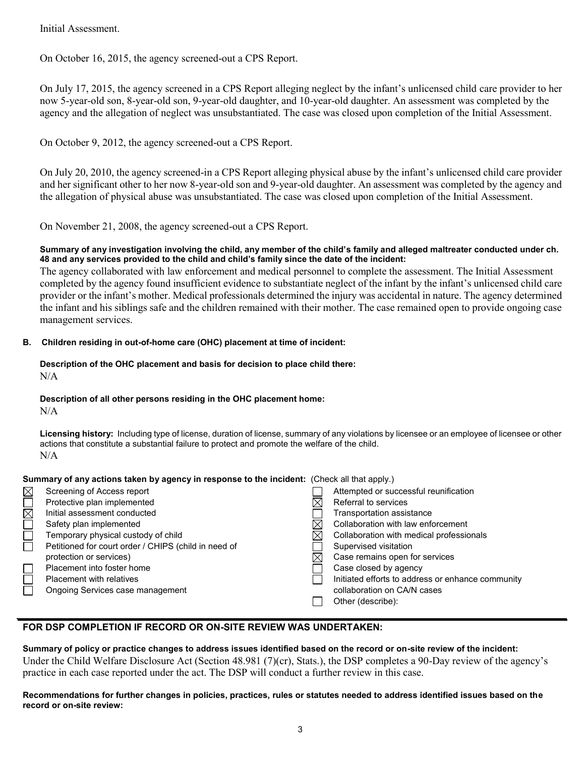Initial Assessment.

On October 16, 2015, the agency screened-out a CPS Report.

On July 17, 2015, the agency screened in a CPS Report alleging neglect by the infant's unlicensed child care provider to her now 5-year-old son, 8-year-old son, 9-year-old daughter, and 10-year-old daughter. An assessment was completed by the agency and the allegation of neglect was unsubstantiated. The case was closed upon completion of the Initial Assessment.

On October 9, 2012, the agency screened-out a CPS Report.

On July 20, 2010, the agency screened-in a CPS Report alleging physical abuse by the infant's unlicensed child care provider and her significant other to her now 8-year-old son and 9-year-old daughter. An assessment was completed by the agency and the allegation of physical abuse was unsubstantiated. The case was closed upon completion of the Initial Assessment.

On November 21, 2008, the agency screened-out a CPS Report.

## **Summary of any investigation involving the child, any member of the child's family and alleged maltreater conducted under ch. 48 and any services provided to the child and child's family since the date of the incident:**

The agency collaborated with law enforcement and medical personnel to complete the assessment. The Initial Assessment completed by the agency found insufficient evidence to substantiate neglect of the infant by the infant's unlicensed child care provider or the infant's mother. Medical professionals determined the injury was accidental in nature. The agency determined the infant and his siblings safe and the children remained with their mother. The case remained open to provide ongoing case management services.

## **B. Children residing in out-of-home care (OHC) placement at time of incident:**

## **Description of the OHC placement and basis for decision to place child there:** N/A

**Description of all other persons residing in the OHC placement home:**

N/A

**Licensing history:** Including type of license, duration of license, summary of any violations by licensee or an employee of licensee or other actions that constitute a substantial failure to protect and promote the welfare of the child.  $N/A$ 

| Summary of any actions taken by agency in response to the incident: (Check all that apply.) |                                                      |  |                                                   |  |  |
|---------------------------------------------------------------------------------------------|------------------------------------------------------|--|---------------------------------------------------|--|--|
| $\boxtimes$                                                                                 | Screening of Access report                           |  | Attempted or successful reunification             |  |  |
|                                                                                             | Protective plan implemented                          |  | Referral to services                              |  |  |
| $\overline{\boxtimes}$                                                                      | Initial assessment conducted                         |  | Transportation assistance                         |  |  |
|                                                                                             | Safety plan implemented                              |  | Collaboration with law enforcement                |  |  |
|                                                                                             | Temporary physical custody of child                  |  | Collaboration with medical professionals          |  |  |
|                                                                                             | Petitioned for court order / CHIPS (child in need of |  | Supervised visitation                             |  |  |
|                                                                                             | protection or services)                              |  | Case remains open for services                    |  |  |
|                                                                                             | Placement into foster home                           |  | Case closed by agency                             |  |  |
|                                                                                             | <b>Placement with relatives</b>                      |  | Initiated efforts to address or enhance community |  |  |
|                                                                                             | Ongoing Services case management                     |  | collaboration on CA/N cases                       |  |  |
|                                                                                             |                                                      |  | Other (describe):                                 |  |  |

## **FOR DSP COMPLETION IF RECORD OR ON-SITE REVIEW WAS UNDERTAKEN:**

## **Summary of policy or practice changes to address issues identified based on the record or on-site review of the incident:**

Under the Child Welfare Disclosure Act (Section 48.981 (7)(cr), Stats.), the DSP completes a 90-Day review of the agency's practice in each case reported under the act. The DSP will conduct a further review in this case.

#### **Recommendations for further changes in policies, practices, rules or statutes needed to address identified issues based on the record or on-site review:**